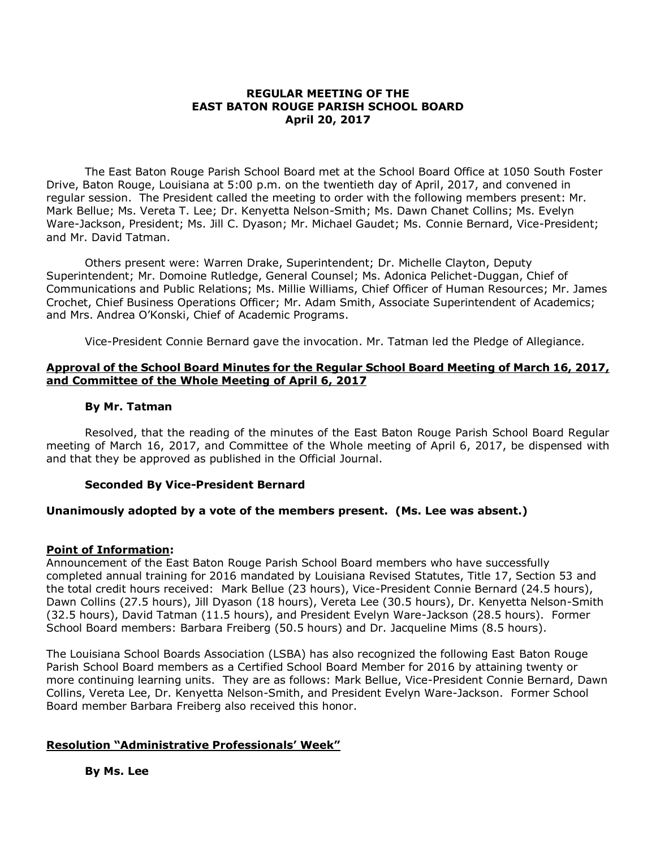### **REGULAR MEETING OF THE EAST BATON ROUGE PARISH SCHOOL BOARD April 20, 2017**

The East Baton Rouge Parish School Board met at the School Board Office at 1050 South Foster Drive, Baton Rouge, Louisiana at 5:00 p.m. on the twentieth day of April, 2017, and convened in regular session. The President called the meeting to order with the following members present: Mr. Mark Bellue; Ms. Vereta T. Lee; Dr. Kenyetta Nelson-Smith; Ms. Dawn Chanet Collins; Ms. Evelyn Ware-Jackson, President; Ms. Jill C. Dyason; Mr. Michael Gaudet; Ms. Connie Bernard, Vice-President; and Mr. David Tatman.

Others present were: Warren Drake, Superintendent; Dr. Michelle Clayton, Deputy Superintendent; Mr. Domoine Rutledge, General Counsel; Ms. Adonica Pelichet-Duggan, Chief of Communications and Public Relations; Ms. Millie Williams, Chief Officer of Human Resources; Mr. James Crochet, Chief Business Operations Officer; Mr. Adam Smith, Associate Superintendent of Academics; and Mrs. Andrea O'Konski, Chief of Academic Programs.

Vice-President Connie Bernard gave the invocation. Mr. Tatman led the Pledge of Allegiance.

## **Approval of the School Board Minutes for the Regular School Board Meeting of March 16, 2017, and Committee of the Whole Meeting of April 6, 2017**

### **By Mr. Tatman**

Resolved, that the reading of the minutes of the East Baton Rouge Parish School Board Regular meeting of March 16, 2017, and Committee of the Whole meeting of April 6, 2017, be dispensed with and that they be approved as published in the Official Journal.

## **Seconded By Vice-President Bernard**

## **Unanimously adopted by a vote of the members present. (Ms. Lee was absent.)**

## **Point of Information:**

Announcement of the East Baton Rouge Parish School Board members who have successfully completed annual training for 2016 mandated by Louisiana Revised Statutes, Title 17, Section 53 and the total credit hours received: Mark Bellue (23 hours), Vice-President Connie Bernard (24.5 hours), Dawn Collins (27.5 hours), Jill Dyason (18 hours), Vereta Lee (30.5 hours), Dr. Kenyetta Nelson-Smith (32.5 hours), David Tatman (11.5 hours), and President Evelyn Ware-Jackson (28.5 hours). Former School Board members: Barbara Freiberg (50.5 hours) and Dr. Jacqueline Mims (8.5 hours).

The Louisiana School Boards Association (LSBA) has also recognized the following East Baton Rouge Parish School Board members as a Certified School Board Member for 2016 by attaining twenty or more continuing learning units. They are as follows: Mark Bellue, Vice-President Connie Bernard, Dawn Collins, Vereta Lee, Dr. Kenyetta Nelson-Smith, and President Evelyn Ware-Jackson. Former School Board member Barbara Freiberg also received this honor.

## **Resolution "Administrative Professionals' Week"**

**By Ms. Lee**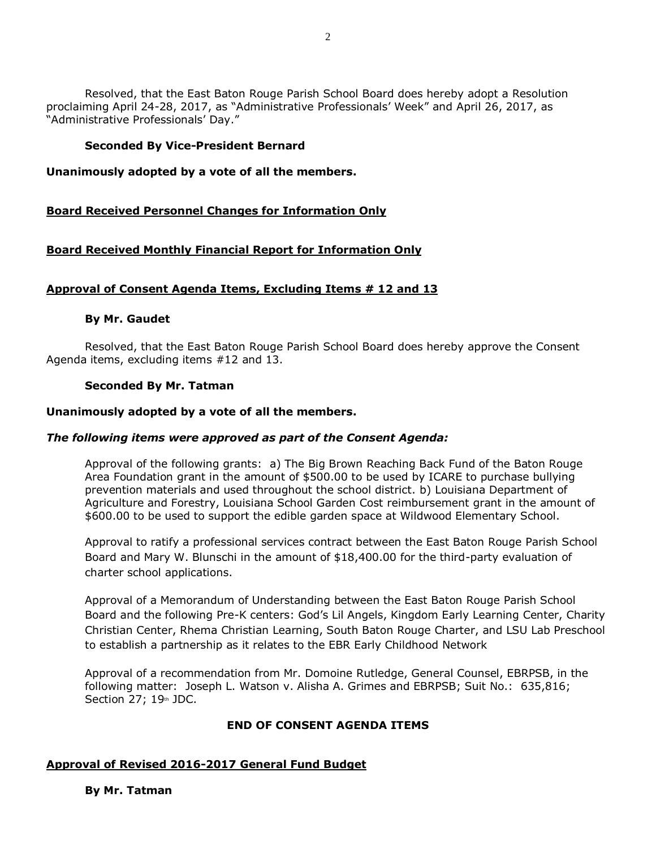Resolved, that the East Baton Rouge Parish School Board does hereby adopt a Resolution proclaiming April 24-28, 2017, as "Administrative Professionals' Week" and April 26, 2017, as "Administrative Professionals' Day."

## **Seconded By Vice-President Bernard**

## **Unanimously adopted by a vote of all the members.**

## **Board Received Personnel Changes for Information Only**

# **Board Received Monthly Financial Report for Information Only**

# **Approval of Consent Agenda Items, Excluding Items # 12 and 13**

## **By Mr. Gaudet**

Resolved, that the East Baton Rouge Parish School Board does hereby approve the Consent Agenda items, excluding items #12 and 13.

## **Seconded By Mr. Tatman**

## **Unanimously adopted by a vote of all the members.**

## *The following items were approved as part of the Consent Agenda:*

Approval of the following grants: a) The Big Brown Reaching Back Fund of the Baton Rouge Area Foundation grant in the amount of \$500.00 to be used by ICARE to purchase bullying prevention materials and used throughout the school district. b) Louisiana Department of Agriculture and Forestry, Louisiana School Garden Cost reimbursement grant in the amount of \$600.00 to be used to support the edible garden space at Wildwood Elementary School.

Approval to ratify a professional services contract between the East Baton Rouge Parish School Board and Mary W. Blunschi in the amount of \$18,400.00 for the third-party evaluation of charter school applications.

Approval of a Memorandum of Understanding between the East Baton Rouge Parish School Board and the following Pre-K centers: God's Lil Angels, Kingdom Early Learning Center, Charity Christian Center, Rhema Christian Learning, South Baton Rouge Charter, and LSU Lab Preschool to establish a partnership as it relates to the EBR Early Childhood Network

Approval of a recommendation from Mr. Domoine Rutledge, General Counsel, EBRPSB, in the following matter: Joseph L. Watson v. Alisha A. Grimes and EBRPSB; Suit No.: 635,816; Section 27;  $19<sup>th</sup>$  JDC.

## **END OF CONSENT AGENDA ITEMS**

# **Approval of Revised 2016-2017 General Fund Budget**

**By Mr. Tatman**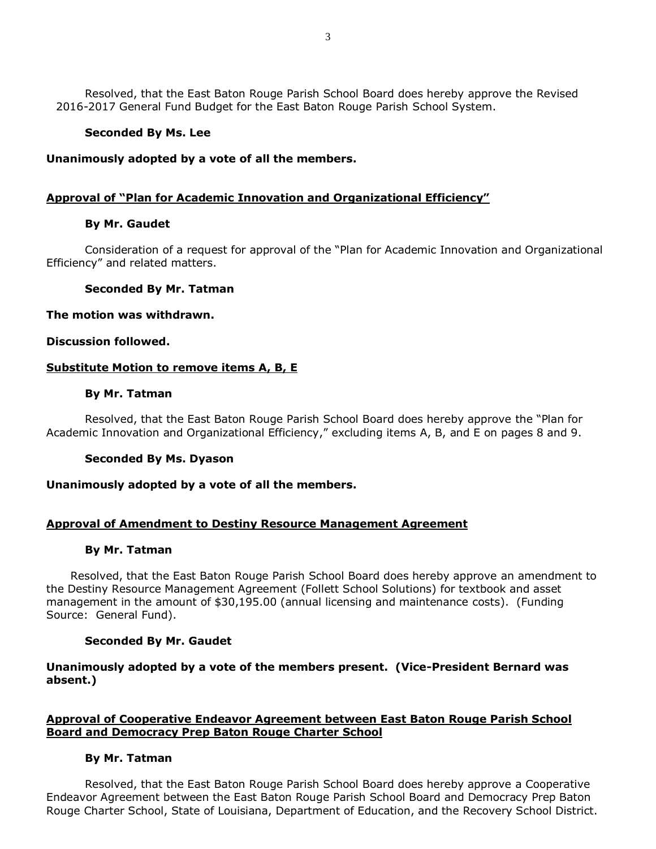Resolved, that the East Baton Rouge Parish School Board does hereby approve the Revised 2016-2017 General Fund Budget for the East Baton Rouge Parish School System.

## **Seconded By Ms. Lee**

### **Unanimously adopted by a vote of all the members.**

## **Approval of "Plan for Academic Innovation and Organizational Efficiency"**

### **By Mr. Gaudet**

Consideration of a request for approval of the "Plan for Academic Innovation and Organizational Efficiency" and related matters.

### **Seconded By Mr. Tatman**

#### **The motion was withdrawn.**

### **Discussion followed.**

### **Substitute Motion to remove items A, B, E**

#### **By Mr. Tatman**

Resolved, that the East Baton Rouge Parish School Board does hereby approve the "Plan for Academic Innovation and Organizational Efficiency," excluding items A, B, and E on pages 8 and 9.

#### **Seconded By Ms. Dyason**

### **Unanimously adopted by a vote of all the members.**

## **Approval of Amendment to Destiny Resource Management Agreement**

#### **By Mr. Tatman**

Resolved, that the East Baton Rouge Parish School Board does hereby approve an amendment to the Destiny Resource Management Agreement (Follett School Solutions) for textbook and asset management in the amount of \$30,195.00 (annual licensing and maintenance costs). (Funding Source: General Fund).

## **Seconded By Mr. Gaudet**

## **Unanimously adopted by a vote of the members present. (Vice-President Bernard was absent.)**

# **Approval of Cooperative Endeavor Agreement between East Baton Rouge Parish School Board and Democracy Prep Baton Rouge Charter School**

## **By Mr. Tatman**

Resolved, that the East Baton Rouge Parish School Board does hereby approve a Cooperative Endeavor Agreement between the East Baton Rouge Parish School Board and Democracy Prep Baton Rouge Charter School, State of Louisiana, Department of Education, and the Recovery School District.